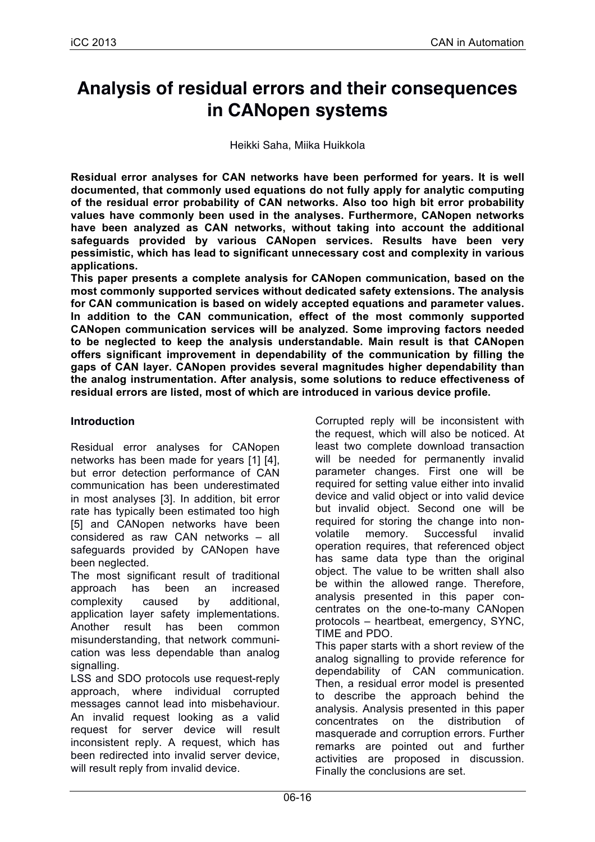# **Analysis of residual errors and their consequences in CANopen systems**

Heikki Saha, Miika Huikkola

**Residual error analyses for CAN networks have been performed for years. It is well documented, that commonly used equations do not fully apply for analytic computing of the residual error probability of CAN networks. Also too high bit error probability values have commonly been used in the analyses. Furthermore, CANopen networks have been analyzed as CAN networks, without taking into account the additional safeguards provided by various CANopen services. Results have been very pessimistic, which has lead to significant unnecessary cost and complexity in various applications.**

**This paper presents a complete analysis for CANopen communication, based on the most commonly supported services without dedicated safety extensions. The analysis for CAN communication is based on widely accepted equations and parameter values. In addition to the CAN communication, effect of the most commonly supported CANopen communication services will be analyzed. Some improving factors needed to be neglected to keep the analysis understandable. Main result is that CANopen offers significant improvement in dependability of the communication by filling the gaps of CAN layer. CANopen provides several magnitudes higher dependability than the analog instrumentation. After analysis, some solutions to reduce effectiveness of residual errors are listed, most of which are introduced in various device profile.**

#### **Introduction**

Residual error analyses for CANopen networks has been made for years [1] [4], but error detection performance of CAN communication has been underestimated in most analyses [3]. In addition, bit error rate has typically been estimated too high [5] and CANopen networks have been considered as raw CAN networks – all safeguards provided by CANopen have been neglected.

The most significant result of traditional approach has been an increased complexity caused by additional, application layer safety implementations. Another result has been common misunderstanding, that network communication was less dependable than analog signalling.

LSS and SDO protocols use request-reply approach, where individual corrupted messages cannot lead into misbehaviour. An invalid request looking as a valid request for server device will result inconsistent reply. A request, which has been redirected into invalid server device, will result reply from invalid device.

Corrupted reply will be inconsistent with the request, which will also be noticed. At least two complete download transaction will be needed for permanently invalid parameter changes. First one will be required for setting value either into invalid device and valid object or into valid device but invalid object. Second one will be required for storing the change into nonvolatile memory. Successful invalid operation requires, that referenced object has same data type than the original object. The value to be written shall also be within the allowed range. Therefore, analysis presented in this paper concentrates on the one-to-many CANopen protocols – heartbeat, emergency, SYNC, TIME and PDO.

This paper starts with a short review of the analog signalling to provide reference for dependability of CAN communication. Then, a residual error model is presented to describe the approach behind the analysis. Analysis presented in this paper concentrates on the distribution of masquerade and corruption errors. Further remarks are pointed out and further activities are proposed in discussion. Finally the conclusions are set.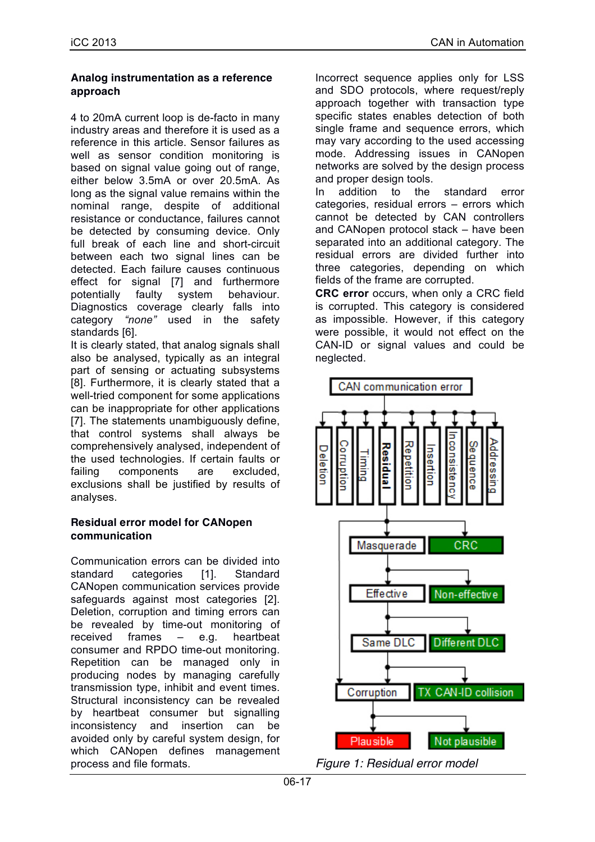### **Analog instrumentation as a reference approach**

4 to 20mA current loop is de-facto in many industry areas and therefore it is used as a reference in this article. Sensor failures as well as sensor condition monitoring is based on signal value going out of range, either below 3.5mA or over 20.5mA. As long as the signal value remains within the nominal range, despite of additional resistance or conductance, failures cannot be detected by consuming device. Only full break of each line and short-circuit between each two signal lines can be detected. Each failure causes continuous effect for signal [7] and furthermore potentially faulty system behaviour. Diagnostics coverage clearly falls into category *"none"* used in the safety standards [6].

It is clearly stated, that analog signals shall also be analysed, typically as an integral part of sensing or actuating subsystems [8]. Furthermore, it is clearly stated that a well-tried component for some applications can be inappropriate for other applications [7]. The statements unambiguously define, that control systems shall always be comprehensively analysed, independent of the used technologies. If certain faults or failing components are excluded, exclusions shall be justified by results of analyses.

### **Residual error model for CANopen communication**

Communication errors can be divided into standard categories [1]. Standard CANopen communication services provide safeguards against most categories [2]. Deletion, corruption and timing errors can be revealed by time-out monitoring of received frames – e.g. heartbeat consumer and RPDO time-out monitoring. Repetition can be managed only in producing nodes by managing carefully transmission type, inhibit and event times. Structural inconsistency can be revealed by heartbeat consumer but signalling inconsistency and insertion can be avoided only by careful system design, for which CANopen defines management process and file formats.

Incorrect sequence applies only for LSS and SDO protocols, where request/reply approach together with transaction type specific states enables detection of both single frame and sequence errors, which may vary according to the used accessing mode. Addressing issues in CANopen networks are solved by the design process and proper design tools.

In addition to the standard error categories, residual errors – errors which cannot be detected by CAN controllers and CANopen protocol stack – have been separated into an additional category. The residual errors are divided further into three categories, depending on which fields of the frame are corrupted.

**CRC error** occurs, when only a CRC field is corrupted. This category is considered as impossible. However, if this category were possible, it would not effect on the CAN-ID or signal values and could be neglected.



*Figure 1: Residual error model*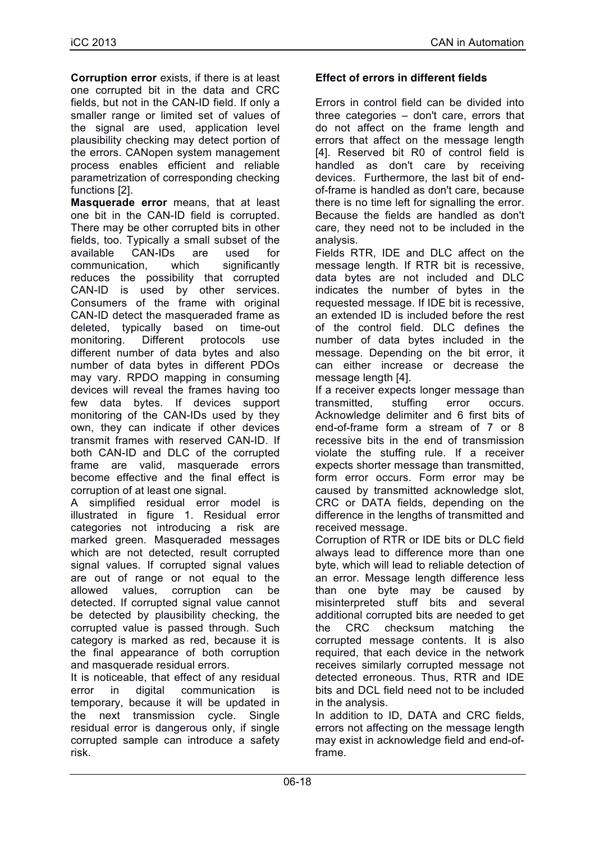**Corruption error** exists, if there is at least one corrupted bit in the data and CRC fields, but not in the CAN-ID field. If only a smaller range or limited set of values of the signal are used, application level plausibility checking may detect portion of the errors. CANopen system management process enables efficient and reliable parametrization of corresponding checking functions [2].

**Masquerade error** means, that at least one bit in the CAN-ID field is corrupted. There may be other corrupted bits in other fields, too. Typically a small subset of the available CAN-IDs are used for communication, which significantly reduces the possibility that corrupted CAN-ID is used by other services. Consumers of the frame with original CAN-ID detect the masqueraded frame as deleted, typically based on time-out monitoring. Different protocols use different number of data bytes and also number of data bytes in different PDOs may vary. RPDO mapping in consuming devices will reveal the frames having too few data bytes. If devices support monitoring of the CAN-IDs used by they own, they can indicate if other devices transmit frames with reserved CAN-ID. If both CAN-ID and DLC of the corrupted frame are valid, masquerade errors become effective and the final effect is corruption of at least one signal.

A simplified residual error model is illustrated in figure 1. Residual error categories not introducing a risk are marked green. Masqueraded messages which are not detected, result corrupted signal values. If corrupted signal values are out of range or not equal to the allowed values, corruption can be detected. If corrupted signal value cannot be detected by plausibility checking, the corrupted value is passed through. Such category is marked as red, because it is the final appearance of both corruption and masquerade residual errors.

It is noticeable, that effect of any residual error in digital communication is temporary, because it will be updated in the next transmission cycle. Single residual error is dangerous only, if single corrupted sample can introduce a safety risk.

# **Effect of errors in different fields**

Errors in control field can be divided into three categories – don't care, errors that do not affect on the frame length and errors that affect on the message length [4]. Reserved bit R0 of control field is handled as don't care by receiving devices. Furthermore, the last bit of endof-frame is handled as don't care, because there is no time left for signalling the error. Because the fields are handled as don't care, they need not to be included in the analysis.

Fields RTR, IDE and DLC affect on the message length. If RTR bit is recessive, data bytes are not included and DLC indicates the number of bytes in the requested message. If IDE bit is recessive, an extended ID is included before the rest of the control field. DLC defines the number of data bytes included in the message. Depending on the bit error, it can either increase or decrease the message length [4].

If a receiver expects longer message than transmitted, stuffing error occurs. Acknowledge delimiter and 6 first bits of end-of-frame form a stream of 7 or 8 recessive bits in the end of transmission violate the stuffing rule. If a receiver expects shorter message than transmitted, form error occurs. Form error may be caused by transmitted acknowledge slot, CRC or DATA fields, depending on the difference in the lengths of transmitted and received message.

Corruption of RTR or IDE bits or DLC field always lead to difference more than one byte, which will lead to reliable detection of an error. Message length difference less than one byte may be caused by misinterpreted stuff bits and several additional corrupted bits are needed to get the CRC checksum matching the corrupted message contents. It is also required, that each device in the network receives similarly corrupted message not detected erroneous. Thus, RTR and IDE bits and DCL field need not to be included in the analysis.

In addition to ID, DATA and CRC fields, errors not affecting on the message length may exist in acknowledge field and end-offrame.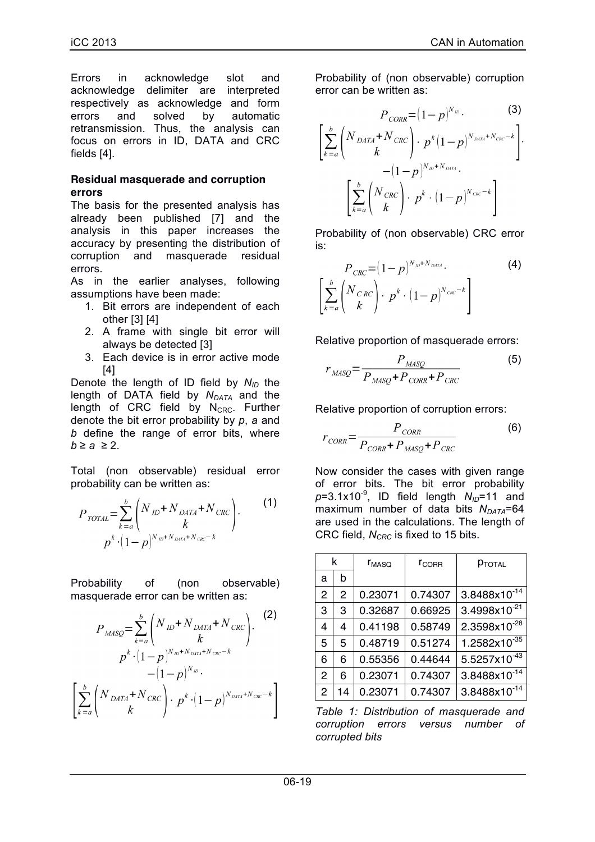Errors in acknowledge slot and acknowledge delimiter are interpreted respectively as acknowledge and form errors and solved by automatic retransmission. Thus, the analysis can focus on errors in ID, DATA and CRC fields [4].

#### **Residual masquerade and corruption errors**

The basis for the presented analysis has already been published [7] and the analysis in this paper increases the accuracy by presenting the distribution of corruption and masquerade residual errors.

As in the earlier analyses, following assumptions have been made:

- 1. Bit errors are independent of each other [3] [4]
- 2. A frame with single bit error will always be detected [3]
- 3. Each device is in error active mode [4]

Denote the length of ID field by  $N_{ID}$  the length of DATA field by  $N_{DATA}$  and the length of CRC field by  $N_{CRC}$ . Further denote the bit error probability by *p*, *a* and *b* define the range of error bits, where  $b \ge a \ge 2$ .

Total (non observable) residual error probability can be written as:

$$
P_{\text{TOTAL}} = \sum_{k=a}^{b} \binom{N_{\text{ID}} + N_{\text{DATA}} + N_{\text{CRC}}}{k}.
$$
  

$$
p^{k} \cdot (1-p)^{N_{\text{ID}} + N_{\text{DATA}} + N_{\text{CRC}} - k}.
$$

$$
(1)
$$

Probability of (non observable) masquerade error can be written as:

$$
P_{MASQ} = \sum_{k=a}^{b} \left( N_{ID} + N_{DATA} + N_{CRC} \right). \tag{2}
$$
\n
$$
p^{k} \cdot (1-p)^{N_{ID} + N_{DATA} + N_{CRC} - k} - (1-p)^{N_{ID}}.
$$
\n
$$
\left[ \sum_{k=a}^{b} \left( N_{DATA} + N_{CRC} \right) \cdot p^{k} \cdot (1-p)^{N_{DATA} + N_{CRC} - k} \right]
$$

Probability of (non observable) corruption error can be written as:

$$
P_{CORR} = (1-p)^{N_{ID}} \cdot (3)
$$
\n
$$
\left[ \sum_{k=a}^{b} \binom{N_{DATA} + N_{CRC}}{k} \cdot p^{k} (1-p)^{N_{DATA} + N_{CRC} - k} \right] \cdot (1-p)^{N_{ID} + N_{DATA}} \cdot \left[ \sum_{k=a}^{b} \binom{N_{CRC}}{k} \cdot p^{k} \cdot (1-p)^{N_{CRC} - k} \right]
$$

Probability of (non observable) CRC error is:

$$
P_{CRC} = (1-p)^{N_{ID} + N_{DATE}}.
$$
\n
$$
\left[\sum_{k=a}^{b} \binom{N_{CRC}}{k}, p^{k} \cdot (1-p)^{N_{CRC} - k}\right]
$$
\n(4)

Relative proportion of masquerade errors:

$$
r_{MASQ} = \frac{P_{MASQ}}{P_{MASQ} + P_{CORR} + P_{CRC}}
$$
(5)

Relative proportion of corruption errors:

$$
r_{CORR} = \frac{P_{CORR}}{P_{CORR} + P_{MASQ} + P_{CRC}}
$$
(6)

Now consider the cases with given range of error bits. The bit error probability  $p=3.1x10^{-9}$ , ID field length  $N_{ID}=11$  and maximum number of data bits *N<sub>DATA</sub>*=64 are used in the calculations. The length of CRC field, *N<sub>CRC</sub>* is fixed to 15 bits.

| k |    | <b>L</b> MASO | $r_{\text{CORR}}$ | PTOTAL                   |
|---|----|---------------|-------------------|--------------------------|
| a | b  |               |                   |                          |
| 2 | 2  | 0.23071       | 0.74307           | 3.8488x10 <sup>-14</sup> |
| 3 | 3  | 0.32687       | 0.66925           | 3.4998x10 <sup>-21</sup> |
| 4 | 4  | 0.41198       | 0.58749           | 2.3598x10 <sup>-28</sup> |
| 5 | 5  | 0.48719       | 0.51274           | $1.2582\times10^{-35}$   |
| 6 | 6  | 0.55356       | 0.44644           | 5.5257x10 <sup>-43</sup> |
| 2 | 6  | 0.23071       | 0.74307           | 3.8488x10 <sup>-14</sup> |
| 2 | 14 | 0.23071       | 0.74307           | 3.8488x10 <sup>-14</sup> |

*Table 1: Distribution of masquerade and corruption errors versus number of corrupted bits*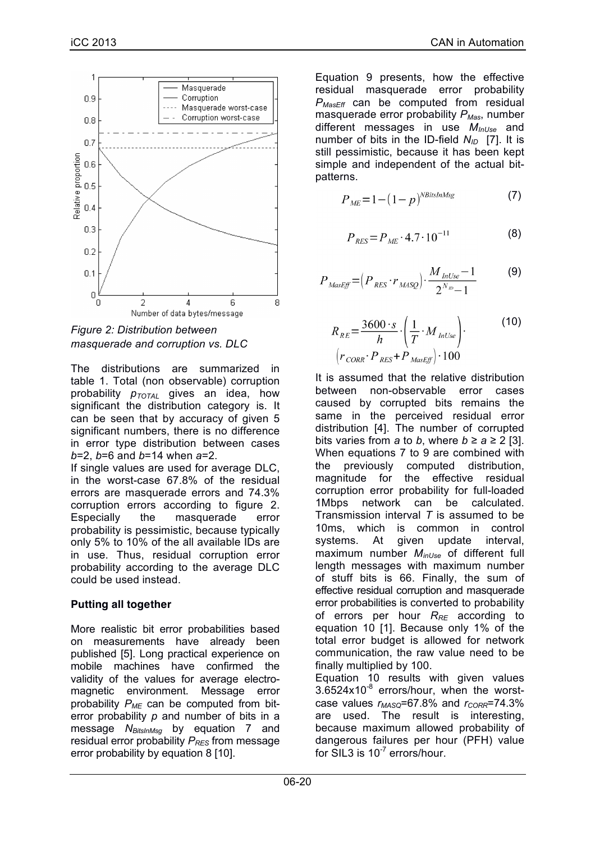

*Figure 2: Distribution between masquerade and corruption vs. DLC*

The distributions are summarized in table 1. Total (non observable) corruption probability  $p_{\text{TOTAL}}$  gives an idea, how significant the distribution category is. It can be seen that by accuracy of given 5 significant numbers, there is no difference in error type distribution between cases *b*=2, *b*=6 and *b*=14 when *a*=2.

If single values are used for average DLC, in the worst-case 67.8% of the residual errors are masquerade errors and 74.3% corruption errors according to figure 2. Especially the masquerade error probability is pessimistic, because typically only 5% to 10% of the all available IDs are in use. Thus, residual corruption error probability according to the average DLC could be used instead.

### **Putting all together**

More realistic bit error probabilities based on measurements have already been published [5]. Long practical experience on mobile machines have confirmed the validity of the values for average electromagnetic environment. Message error probability  $P_{MF}$  can be computed from biterror probability *p* and number of bits in a message *N<sub>BitsInMsg</sub>* by equation 7 and residual error probability *P<sub>RES</sub>* from message error probability by equation 8 [10].

Equation 9 presents, how the effective residual masquerade error probability *PMasEff* can be computed from residual masquerade error probability  $P_{Mas}$ , number different messages in use *MInUse* and number of bits in the ID-field *N<sub>ID</sub>* [7]. It is still pessimistic, because it has been kept simple and independent of the actual bitpatterns.

$$
P_{ME} = 1 - (1 - p)^{NBitsInMsg}
$$
 (7)

$$
P_{RES} = P_{ME} \cdot 4.7 \cdot 10^{-11} \tag{8}
$$

$$
P_{\text{MassEff}} = \left(P_{\text{RES}} \cdot r_{\text{MASQ}}\right) \cdot \frac{M_{\text{InUse}} - 1}{2^{N_{\text{ID}}} - 1} \tag{9}
$$

$$
R_{RE} = \frac{3600 \cdot s}{h} \cdot \left(\frac{1}{T} \cdot M_{lnUse}\right)
$$
 (10)  

$$
\left(r_{CORR} \cdot P_{RES} + P_{MasEff}\right) \cdot 100
$$

It is assumed that the relative distribution between non-observable error cases caused by corrupted bits remains the same in the perceived residual error distribution [4]. The number of corrupted bits varies from *a* to *b*, where  $b \ge a \ge 2$  [3]. When equations 7 to 9 are combined with the previously computed distribution, magnitude for the effective residual corruption error probability for full-loaded 1Mbps network can be calculated. Transmission interval *T* is assumed to be 10ms, which is common in control systems. At given update interval, maximum number *MinUse* of different full length messages with maximum number of stuff bits is 66. Finally, the sum of effective residual corruption and masquerade error probabilities is converted to probability of errors per hour *RRE* according to equation 10 [1]. Because only 1% of the total error budget is allowed for network communication, the raw value need to be finally multiplied by 100. Equation 10 results with given values

 $3.6524x10^{-8}$  errors/hour, when the worstcase values  $r_{MASQ}$ =67.8% and  $r_{CORR}$ =74.3% are used. The result is interesting, because maximum allowed probability of dangerous failures per hour (PFH) value for  $SIL3$  is  $10^{-7}$  errors/hour.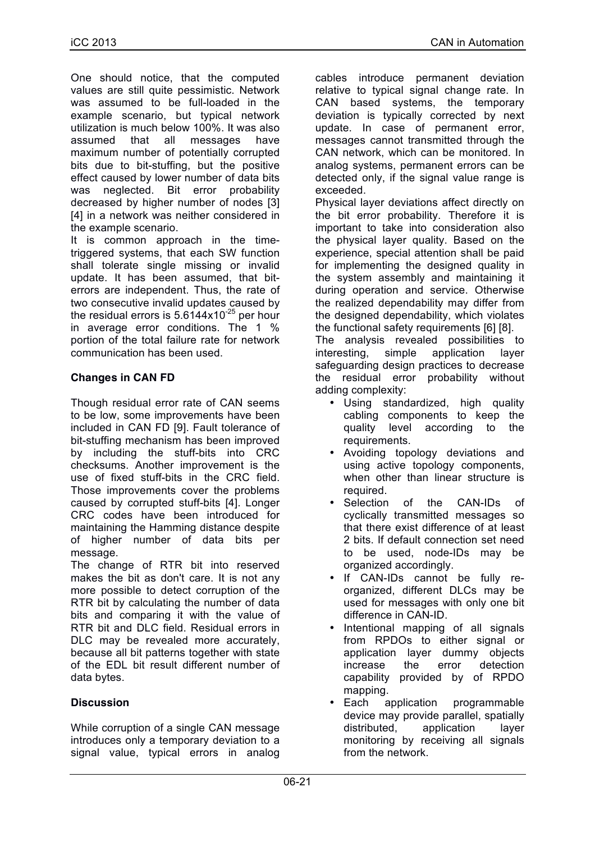One should notice, that the computed values are still quite pessimistic. Network was assumed to be full-loaded in the example scenario, but typical network utilization is much below 100%. It was also assumed that all messages have maximum number of potentially corrupted bits due to bit-stuffing, but the positive effect caused by lower number of data bits was neglected. Bit error probability decreased by higher number of nodes [3] [4] in a network was neither considered in the example scenario.

It is common approach in the timetriggered systems, that each SW function shall tolerate single missing or invalid update. It has been assumed, that biterrors are independent. Thus, the rate of two consecutive invalid updates caused by the residual errors is  $5.6144x10^{-25}$  per hour in average error conditions. The 1 % portion of the total failure rate for network communication has been used.

# **Changes in CAN FD**

Though residual error rate of CAN seems to be low, some improvements have been included in CAN FD [9]. Fault tolerance of bit-stuffing mechanism has been improved by including the stuff-bits into CRC checksums. Another improvement is the use of fixed stuff-bits in the CRC field. Those improvements cover the problems caused by corrupted stuff-bits [4]. Longer CRC codes have been introduced for maintaining the Hamming distance despite of higher number of data bits per message.

The change of RTR bit into reserved makes the bit as don't care. It is not any more possible to detect corruption of the RTR bit by calculating the number of data bits and comparing it with the value of RTR bit and DLC field. Residual errors in DLC may be revealed more accurately, because all bit patterns together with state of the EDL bit result different number of data bytes.

### **Discussion**

While corruption of a single CAN message introduces only a temporary deviation to a signal value, typical errors in analog cables introduce permanent deviation relative to typical signal change rate. In CAN based systems, the temporary deviation is typically corrected by next update. In case of permanent error, messages cannot transmitted through the CAN network, which can be monitored. In analog systems, permanent errors can be detected only, if the signal value range is exceeded.

Physical layer deviations affect directly on the bit error probability. Therefore it is important to take into consideration also the physical layer quality. Based on the experience, special attention shall be paid for implementing the designed quality in the system assembly and maintaining it during operation and service. Otherwise the realized dependability may differ from the designed dependability, which violates the functional safety requirements [6] [8].

The analysis revealed possibilities to interesting, simple application layer safeguarding design practices to decrease the residual error probability without adding complexity:

- Using standardized, high quality cabling components to keep the quality level according to the requirements.
- Avoiding topology deviations and using active topology components, when other than linear structure is required.
- Selection of the CAN-IDs of cyclically transmitted messages so that there exist difference of at least 2 bits. If default connection set need to be used, node-IDs may be organized accordingly.
- If CAN-IDs cannot be fully reorganized, different DLCs may be used for messages with only one bit difference in CAN-ID.
- Intentional mapping of all signals from RPDOs to either signal or application layer dummy objects increase the error detection capability provided by of RPDO mapping.
- Each application programmable device may provide parallel, spatially distributed, application layer monitoring by receiving all signals from the network.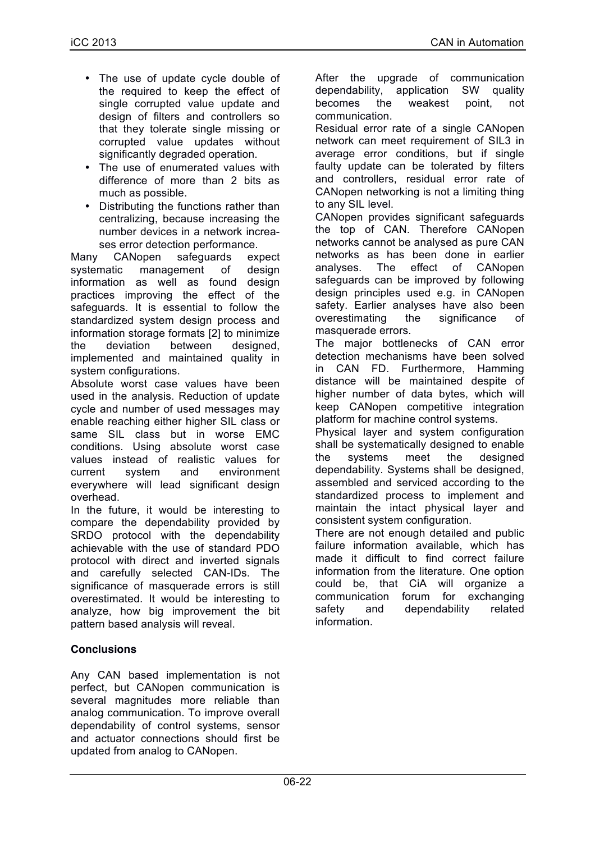- The use of update cycle double of the required to keep the effect of single corrupted value update and design of filters and controllers so that they tolerate single missing or corrupted value updates without significantly degraded operation.
- The use of enumerated values with difference of more than 2 bits as much as possible.
- Distributing the functions rather than centralizing, because increasing the number devices in a network increases error detection performance.

Many CANopen safeguards expect systematic management of design information as well as found design practices improving the effect of the safeguards. It is essential to follow the standardized system design process and information storage formats [2] to minimize the deviation between designed, implemented and maintained quality in system configurations.

Absolute worst case values have been used in the analysis. Reduction of update cycle and number of used messages may enable reaching either higher SIL class or same SIL class but in worse EMC conditions. Using absolute worst case values instead of realistic values for current system and environment everywhere will lead significant design overhead.

In the future, it would be interesting to compare the dependability provided by SRDO protocol with the dependability achievable with the use of standard PDO protocol with direct and inverted signals and carefully selected CAN-IDs. The significance of masquerade errors is still overestimated. It would be interesting to analyze, how big improvement the bit pattern based analysis will reveal.

### **Conclusions**

Any CAN based implementation is not perfect, but CANopen communication is several magnitudes more reliable than analog communication. To improve overall dependability of control systems, sensor and actuator connections should first be updated from analog to CANopen.

After the upgrade of communication dependability, application SW quality becomes the weakest point, not communication.

Residual error rate of a single CANopen network can meet requirement of SIL3 in average error conditions, but if single faulty update can be tolerated by filters and controllers, residual error rate of CANopen networking is not a limiting thing to any SIL level.

CANopen provides significant safeguards the top of CAN. Therefore CANopen networks cannot be analysed as pure CAN networks as has been done in earlier analyses. The effect of CANopen safeguards can be improved by following design principles used e.g. in CANopen safety. Earlier analyses have also been overestimating the significance of masquerade errors.

The major bottlenecks of CAN error detection mechanisms have been solved in CAN FD. Furthermore, Hamming distance will be maintained despite of higher number of data bytes, which will keep CANopen competitive integration platform for machine control systems.

Physical layer and system configuration shall be systematically designed to enable the systems meet the designed dependability. Systems shall be designed, assembled and serviced according to the standardized process to implement and maintain the intact physical layer and consistent system configuration.

There are not enough detailed and public failure information available, which has made it difficult to find correct failure information from the literature. One option could be, that CiA will organize a communication forum for exchanging safety and dependability related information.